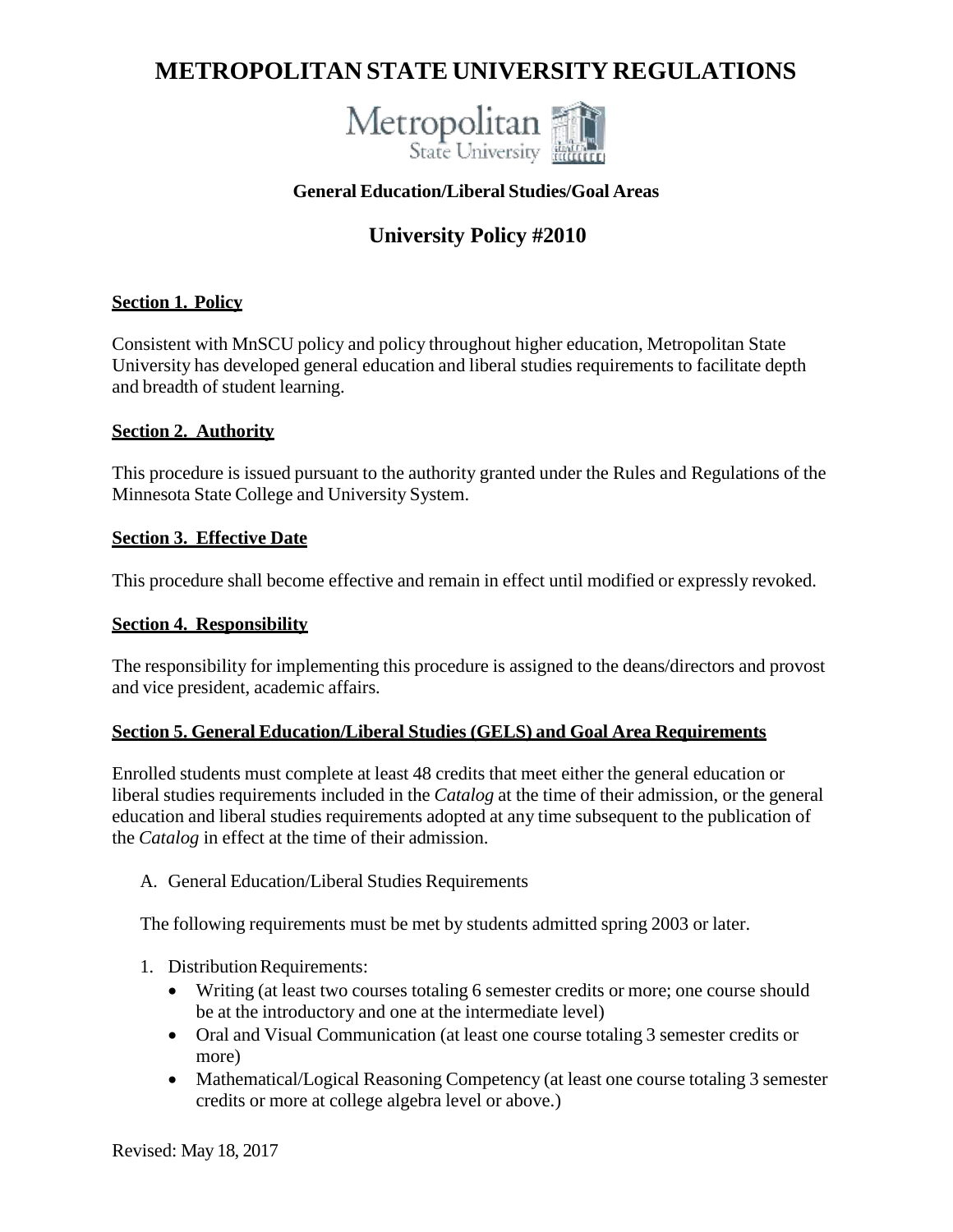# **METROPOLITAN STATE UNIVERSITY REGULATIONS**



# **General Education/Liberal Studies/Goal Areas**

# **University Policy #2010**

#### **Section 1. Policy**

Consistent with MnSCU policy and policy throughout higher education, Metropolitan State University has developed general education and liberal studies requirements to facilitate depth and breadth of student learning.

#### **Section 2. Authority**

This procedure is issued pursuant to the authority granted under the Rules and Regulations of the Minnesota State College and University System.

#### **Section 3. Effective Date**

This procedure shall become effective and remain in effect until modified or expressly revoked.

#### **Section 4. Responsibility**

The responsibility for implementing this procedure is assigned to the deans/directors and provost and vice president, academic affairs.

#### **Section 5. General Education/Liberal Studies (GELS) and Goal Area Requirements**

Enrolled students must complete at least 48 credits that meet either the general education or liberal studies requirements included in the *Catalog* at the time of their admission, or the general education and liberal studies requirements adopted at any time subsequent to the publication of the *Catalog* in effect at the time of their admission.

A. General Education/Liberal Studies Requirements

The following requirements must be met by students admitted spring 2003 or later.

- 1. Distribution Requirements:
	- Writing (at least two courses totaling 6 semester credits or more; one course should be at the introductory and one at the intermediate level)
	- Oral and Visual Communication (at least one course totaling 3 semester credits or more)
	- Mathematical/Logical Reasoning Competency (at least one course totaling 3 semester credits or more at college algebra level or above.)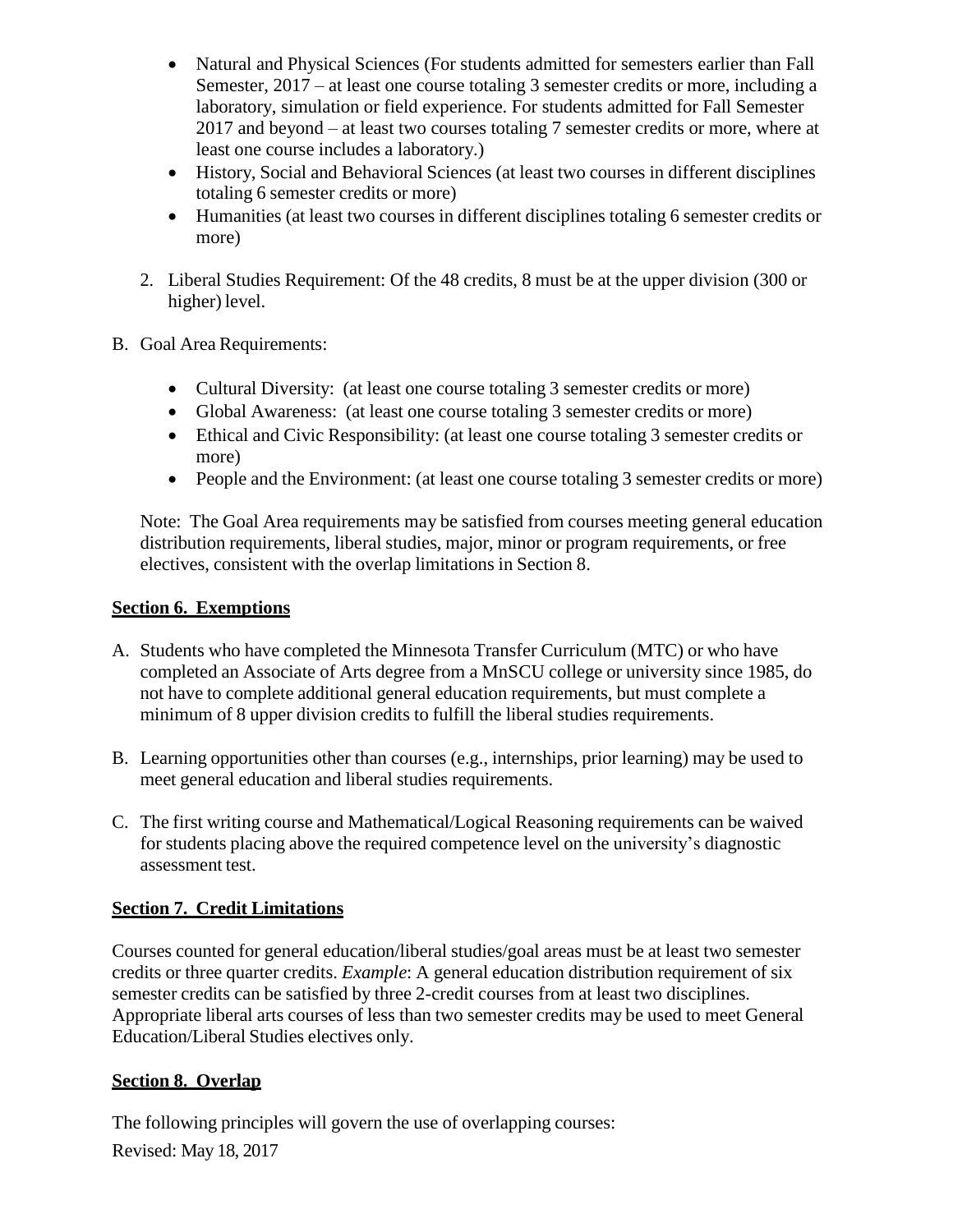- Natural and Physical Sciences (For students admitted for semesters earlier than Fall Semester, 2017 – at least one course totaling 3 semester credits or more, including a laboratory, simulation or field experience. For students admitted for Fall Semester 2017 and beyond – at least two courses totaling 7 semester credits or more, where at least one course includes a laboratory.)
- History, Social and Behavioral Sciences (at least two courses in different disciplines totaling 6 semester credits or more)
- Humanities (at least two courses in different disciplines totaling 6 semester credits or more)
- 2. Liberal Studies Requirement: Of the 48 credits, 8 must be at the upper division (300 or higher) level.
- B. Goal Area Requirements:
	- Cultural Diversity: (at least one course totaling 3 semester credits or more)
	- Global Awareness: (at least one course totaling 3 semester credits or more)
	- Ethical and Civic Responsibility: (at least one course totaling 3 semester credits or more)
	- People and the Environment: (at least one course totaling 3 semester credits or more)

Note: The Goal Area requirements may be satisfied from courses meeting general education distribution requirements, liberal studies, major, minor or program requirements, or free electives, consistent with the overlap limitations in Section 8.

# **Section 6. Exemptions**

- A. Students who have completed the Minnesota Transfer Curriculum (MTC) or who have completed an Associate of Arts degree from a MnSCU college or university since 1985, do not have to complete additional general education requirements, but must complete a minimum of 8 upper division credits to fulfill the liberal studies requirements.
- B. Learning opportunities other than courses (e.g., internships, prior learning) may be used to meet general education and liberal studies requirements.
- C. The first writing course and Mathematical/Logical Reasoning requirements can be waived for students placing above the required competence level on the university's diagnostic assessment test.

# **Section 7. Credit Limitations**

Courses counted for general education/liberal studies/goal areas must be at least two semester credits or three quarter credits. *Example*: A general education distribution requirement of six semester credits can be satisfied by three 2-credit courses from at least two disciplines. Appropriate liberal arts courses of less than two semester credits may be used to meet General Education/Liberal Studies electives only.

# **Section 8. Overlap**

Revised: May 18, 2017 The following principles will govern the use of overlapping courses: